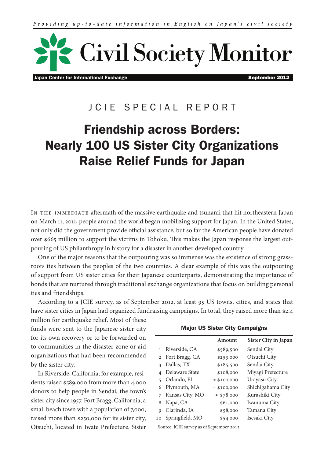

Japan Center for International Exchange September 2012

# J C I F S P E C I A L R F P O R T

# Friendship across Borders: Nearly 100 US Sister City Organizations Raise Relief Funds for Japan

IN THE IMMEDIATE aftermath of the massive earthquake and tsunami that hit northeastern Japan on March 11, 2011, people around the world began mobilizing support for Japan. In the United States, not only did the government provide official assistance, but so far the American people have donated over \$665 million to support the victims in Tohoku. This makes the Japan response the largest outpouring of US philanthropy in history for a disaster in another developed country.

One of the major reasons that the outpouring was so immense was the existence of strong grassroots ties between the peoples of the two countries. A clear example of this was the outpouring of support from US sister cities for their Japanese counterparts, demonstrating the importance of bonds that are nurtured through traditional exchange organizations that focus on building personal ties and friendships.

According to a JCIE survey, as of September 2012, at least 95 US towns, cities, and states that have sister cities in Japan had organized fundraising campaigns. In total, they raised more than \$2.4

million for earthquake relief. Most of these funds were sent to the Japanese sister city for its own recovery or to be forwarded on to communities in the disaster zone or aid organizations that had been recommended by the sister city.

In Riverside, California, for example, residents raised \$589,000 from more than 4,000 donors to help people in Sendai, the town's sister city since 1957. Fort Bragg, California, a small beach town with a population of 7,000, raised more than \$250,000 for its sister city, Otsuchi, located in Iwate Prefecture. Sister

|  |  |  |  | <b>Major US Sister City Campaigns</b> |  |
|--|--|--|--|---------------------------------------|--|
|--|--|--|--|---------------------------------------|--|

|                  | Amount              | Sister City in Japan |
|------------------|---------------------|----------------------|
| 1 Riverside, CA  | \$589,500           | Sendai City          |
| 2 Fort Bragg, CA | \$253,000           | Otsuchi City         |
| Dallas, TX       | \$185,500           | Sendai City          |
| Delaware State   | \$108,000           | Miyagi Prefecture    |
| Orlando, FL      | $\approx$ \$100,000 | Urayasu City         |
| 6 Plymouth, MA   | $\approx$ \$100,000 | Shichigahama City    |
| Kansas City, MO  | $\approx$ \$78,000  | Kurashiki City       |
| Napa, CA         | \$61,000            | Iwanuma City         |
| Clarinda, IA     | \$58,000            | Tamana City          |
| Springfield, MO  | \$54,000            | Isesaki City         |
|                  |                     |                      |

Source: JCIE survey as of September 2012.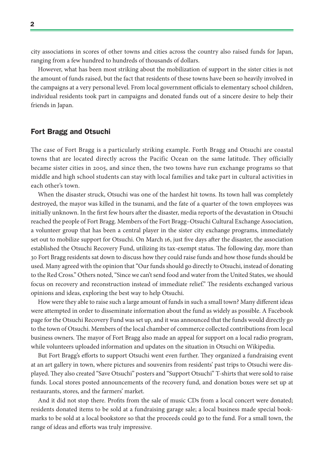city associations in scores of other towns and cities across the country also raised funds for Japan, ranging from a few hundred to hundreds of thousands of dollars.

However, what has been most striking about the mobilization of support in the sister cities is not the amount of funds raised, but the fact that residents of these towns have been so heavily involved in the campaigns at a very personal level. From local government officials to elementary school children, individual residents took part in campaigns and donated funds out of a sincere desire to help their friends in Japan.

## Fort Bragg and Otsuchi

The case of Fort Bragg is a particularly striking example. Forth Bragg and Otsuchi are coastal towns that are located directly across the Pacific Ocean on the same latitude. They officially became sister cities in 2005, and since then, the two towns have run exchange programs so that middle and high school students can stay with local families and take part in cultural activities in each other's town.

When the disaster struck, Otsuchi was one of the hardest hit towns. Its town hall was completely destroyed, the mayor was killed in the tsunami, and the fate of a quarter of the town employees was initially unknown. In the first few hours after the disaster, media reports of the devastation in Otsuchi reached the people of Fort Bragg. Members of the Fort Bragg–Otsuchi Cultural Exchange Association, a volunteer group that has been a central player in the sister city exchange programs, immediately set out to mobilize support for Otsuchi. On March 16, just five days after the disaster, the association established the Otsuchi Recovery Fund, utilizing its tax-exempt status. The following day, more than 30 Fort Bragg residents sat down to discuss how they could raise funds and how those funds should be used. Many agreed with the opinion that "Our funds should go directly to Otsuchi, instead of donating to the Red Cross." Others noted, "Since we can't send food and water from the United States, we should focus on recovery and reconstruction instead of immediate relief." The residents exchanged various opinions and ideas, exploring the best way to help Otsuchi.

How were they able to raise such a large amount of funds in such a small town? Many different ideas were attempted in order to disseminate information about the fund as widely as possible. A Facebook page for the Otsuchi Recovery Fund was set up, and it was announced that the funds would directly go to the town of Otsuchi. Members of the local chamber of commerce collected contributions from local business owners. The mayor of Fort Bragg also made an appeal for support on a local radio program, while volunteers uploaded information and updates on the situation in Otsuchi on Wikipedia.

But Fort Bragg's efforts to support Otsuchi went even further. They organized a fundraising event at an art gallery in town, where pictures and souvenirs from residents' past trips to Otsuchi were displayed. They also created "Save Otsuchi" posters and "Support Otsuchi" T-shirts that were sold to raise funds. Local stores posted announcements of the recovery fund, and donation boxes were set up at restaurants, stores, and the farmers' market.

And it did not stop there. Profits from the sale of music CDs from a local concert were donated; residents donated items to be sold at a fundraising garage sale; a local business made special bookmarks to be sold at a local bookstore so that the proceeds could go to the fund. For a small town, the range of ideas and efforts was truly impressive.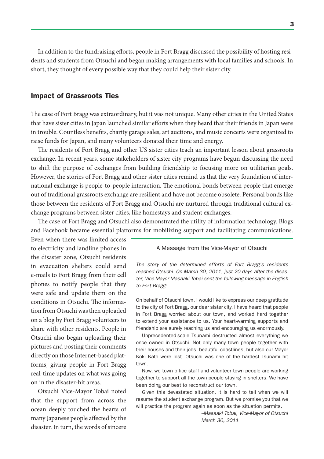In addition to the fundraising efforts, people in Fort Bragg discussed the possibility of hosting residents and students from Otsuchi and began making arrangements with local families and schools. In short, they thought of every possible way that they could help their sister city.

### Impact of Grassroots Ties

The case of Fort Bragg was extraordinary, but it was not unique. Many other cities in the United States that have sister cities in Japan launched similar efforts when they heard that their friends in Japan were in trouble. Countless benefits, charity garage sales, art auctions, and music concerts were organized to raise funds for Japan, and many volunteers donated their time and energy.

The residents of Fort Bragg and other US sister cities teach an important lesson about grassroots exchange. In recent years, some stakeholders of sister city programs have begun discussing the need to shift the purpose of exchanges from building friendship to focusing more on utilitarian goals. However, the stories of Fort Bragg and other sister cities remind us that the very foundation of international exchange is people-to-people interaction. The emotional bonds between people that emerge out of traditional grassroots exchange are resilient and have not become obsolete. Personal bonds like those between the residents of Fort Bragg and Otsuchi are nurtured through traditional cultural exchange programs between sister cities, like homestays and student exchanges.

The case of Fort Bragg and Otsuchi also demonstrated the utility of information technology. Blogs and Facebook became essential platforms for mobilizing support and facilitating communications.

Even when there was limited access to electricity and landline phones in the disaster zone, Otsuchi residents in evacuation shelters could send e-mails to Fort Bragg from their cell phones to notify people that they were safe and update them on the conditions in Otsuchi. The information from Otsuchi was then uploaded on a blog by Fort Bragg volunteers to share with other residents. People in Otsuchi also began uploading their pictures and posting their comments directly on those Internet-based platforms, giving people in Fort Bragg real-time updates on what was going on in the disaster-hit areas.

Otsuchi Vice-Mayor Tobai noted that the support from across the ocean deeply touched the hearts of many Japanese people affected by the disaster. In turn, the words of sincere

#### A Message from the Vice-Mayor of Otsuchi

The story of the determined efforts of Fort Bragg's residents reached Otsuchi. On March 30, 2011, just 20 days after the disaster, Vice-Mayor Masaaki Tobai sent the following message in English to Fort Bragg:

On behalf of Otsuchi town, I would like to express our deep gratitude to the city of Fort Bragg, our dear sister city. I have heard that people in Fort Bragg worried about our town, and worked hard together to extend your assistance to us. Your heart-warming supports and friendship are surely reaching us and encouraging us enormously.

Unprecedented-scale Tsunami destructed almost everything we once owned in Otsuchi. Not only many town people together with their houses and their jobs, beautiful coastlines, but also our Mayor Koki Kato were lost. Otsuchi was one of the hardest Tsunami hit town.

Now, we town office staff and volunteer town people are working together to support all the town people staying in shelters. We have been doing our best to reconstruct our town.

Given this devastated situation, it is hard to tell when we will resume the student exchange program. But we promise you that we will practice the program again as soon as the situation permits.

> --Masaaki Tobai, Vice-Mayor of Otsuchi March 30, 2011